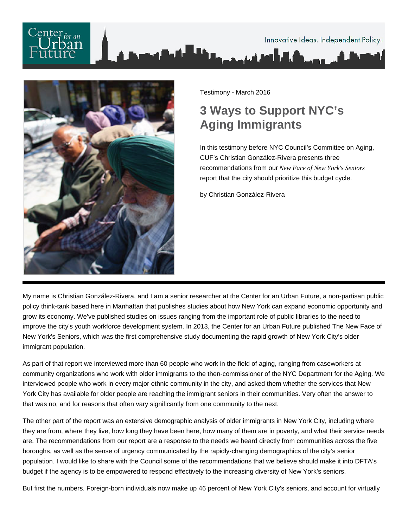# Innovative Ideas. Independent Policy.



Testimony - March 2016

## **3 Ways to Support NYC's Aging Immigrants**

In this testimony before NYC Council's Committee on Aging, CUF's Christian González-Rivera presents three recommendations from our *New Face of New York's Seniors* report that the city should prioritize this budget cycle.

by Christian González-Rivera

My name is Christian González-Rivera, and I am a senior researcher at the Center for an Urban Future, a non-partisan public policy think-tank based here in Manhattan that publishes studies about how New York can expand economic opportunity and grow its economy. We've published studies on issues ranging from the important role of public libraries to the need to improve the city's youth workforce development system. In 2013, the Center for an Urban Future published The New Face of New York's Seniors, which was the first comprehensive study documenting the rapid growth of New York City's older immigrant population.

As part of that report we interviewed more than 60 people who work in the field of aging, ranging from caseworkers at community organizations who work with older immigrants to the then-commissioner of the NYC Department for the Aging. We interviewed people who work in every major ethnic community in the city, and asked them whether the services that New York City has available for older people are reaching the immigrant seniors in their communities. Very often the answer to that was no, and for reasons that often vary significantly from one community to the next.

The other part of the report was an extensive demographic analysis of older immigrants in New York City, including where they are from, where they live, how long they have been here, how many of them are in poverty, and what their service needs are. The recommendations from our report are a response to the needs we heard directly from communities across the five boroughs, as well as the sense of urgency communicated by the rapidly-changing demographics of the city's senior population. I would like to share with the Council some of the recommendations that we believe should make it into DFTA's budget if the agency is to be empowered to respond effectively to the increasing diversity of New York's seniors.

But first the numbers. Foreign-born individuals now make up 46 percent of New York City's seniors, and account for virtually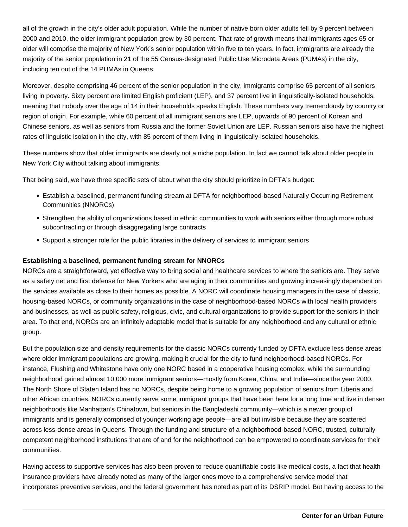all of the growth in the city's older adult population. While the number of native born older adults fell by 9 percent between 2000 and 2010, the older immigrant population grew by 30 percent. That rate of growth means that immigrants ages 65 or older will comprise the majority of New York's senior population within five to ten years. In fact, immigrants are already the majority of the senior population in 21 of the 55 Census-designated Public Use Microdata Areas (PUMAs) in the city, including ten out of the 14 PUMAs in Queens.

Moreover, despite comprising 46 percent of the senior population in the city, immigrants comprise 65 percent of all seniors living in poverty. Sixty percent are limited English proficient (LEP), and 37 percent live in linguistically-isolated households, meaning that nobody over the age of 14 in their households speaks English. These numbers vary tremendously by country or region of origin. For example, while 60 percent of all immigrant seniors are LEP, upwards of 90 percent of Korean and Chinese seniors, as well as seniors from Russia and the former Soviet Union are LEP. Russian seniors also have the highest rates of linguistic isolation in the city, with 85 percent of them living in linguistically-isolated households.

These numbers show that older immigrants are clearly not a niche population. In fact we cannot talk about older people in New York City without talking about immigrants.

That being said, we have three specific sets of about what the city should prioritize in DFTA's budget:

- Establish a baselined, permanent funding stream at DFTA for neighborhood-based Naturally Occurring Retirement Communities (NNORCs)
- Strengthen the ability of organizations based in ethnic communities to work with seniors either through more robust subcontracting or through disaggregating large contracts
- Support a stronger role for the public libraries in the delivery of services to immigrant seniors

### **Establishing a baselined, permanent funding stream for NNORCs**

NORCs are a straightforward, yet effective way to bring social and healthcare services to where the seniors are. They serve as a safety net and first defense for New Yorkers who are aging in their communities and growing increasingly dependent on the services available as close to their homes as possible. A NORC will coordinate housing managers in the case of classic, housing-based NORCs, or community organizations in the case of neighborhood-based NORCs with local health providers and businesses, as well as public safety, religious, civic, and cultural organizations to provide support for the seniors in their area. To that end, NORCs are an infinitely adaptable model that is suitable for any neighborhood and any cultural or ethnic group.

But the population size and density requirements for the classic NORCs currently funded by DFTA exclude less dense areas where older immigrant populations are growing, making it crucial for the city to fund neighborhood-based NORCs. For instance, Flushing and Whitestone have only one NORC based in a cooperative housing complex, while the surrounding neighborhood gained almost 10,000 more immigrant seniors—mostly from Korea, China, and India—since the year 2000. The North Shore of Staten Island has no NORCs, despite being home to a growing population of seniors from Liberia and other African countries. NORCs currently serve some immigrant groups that have been here for a long time and live in denser neighborhoods like Manhattan's Chinatown, but seniors in the Bangladeshi community—which is a newer group of immigrants and is generally comprised of younger working age people—are all but invisible because they are scattered across less-dense areas in Queens. Through the funding and structure of a neighborhood-based NORC, trusted, culturally competent neighborhood institutions that are of and for the neighborhood can be empowered to coordinate services for their communities.

Having access to supportive services has also been proven to reduce quantifiable costs like medical costs, a fact that health insurance providers have already noted as many of the larger ones move to a comprehensive service model that incorporates preventive services, and the federal government has noted as part of its DSRIP model. But having access to the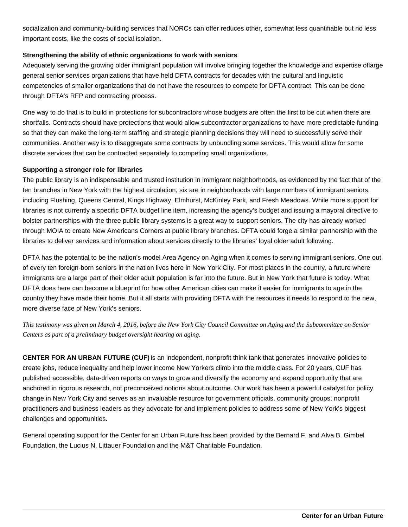socialization and community-building services that NORCs can offer reduces other, somewhat less quantifiable but no less important costs, like the costs of social isolation.

#### **Strengthening the ability of ethnic organizations to work with seniors**

Adequately serving the growing older immigrant population will involve bringing together the knowledge and expertise of large general senior services organizations that have held DFTA contracts for decades with the cultural and linguistic competencies of smaller organizations that do not have the resources to compete for DFTA contract. This can be done through DFTA's RFP and contracting process.

One way to do that is to build in protections for subcontractors whose budgets are often the first to be cut when there are shortfalls. Contracts should have protections that would allow subcontractor organizations to have more predictable funding so that they can make the long-term staffing and strategic planning decisions they will need to successfully serve their communities. Another way is to disaggregate some contracts by unbundling some services. This would allow for some discrete services that can be contracted separately to competing small organizations.

#### **Supporting a stronger role for libraries**

The public library is an indispensable and trusted institution in immigrant neighborhoods, as evidenced by the fact that of the ten branches in New York with the highest circulation, six are in neighborhoods with large numbers of immigrant seniors, including Flushing, Queens Central, Kings Highway, Elmhurst, McKinley Park, and Fresh Meadows. While more support for libraries is not currently a specific DFTA budget line item, increasing the agency's budget and issuing a mayoral directive to bolster partnerships with the three public library systems is a great way to support seniors. The city has already worked through MOIA to create New Americans Corners at public library branches. DFTA could forge a similar partnership with the libraries to deliver services and information about services directly to the libraries' loyal older adult following.

DFTA has the potential to be the nation's model Area Agency on Aging when it comes to serving immigrant seniors. One out of every ten foreign-born seniors in the nation lives here in New York City. For most places in the country, a future where immigrants are a large part of their older adult population is far into the future. But in New York that future is today. What DFTA does here can become a blueprint for how other American cities can make it easier for immigrants to age in the country they have made their home. But it all starts with providing DFTA with the resources it needs to respond to the new, more diverse face of New York's seniors.

*This testimony was given on March 4, 2016, before the New York City Council Committee on Aging and the Subcommittee on Senior Centers as part of a preliminary budget oversight hearing on aging.* 

**CENTER FOR AN URBAN FUTURE (CUF)** is an independent, nonprofit think tank that generates innovative policies to create jobs, reduce inequality and help lower income New Yorkers climb into the middle class. For 20 years, CUF has published accessible, data-driven reports on ways to grow and diversify the economy and expand opportunity that are anchored in rigorous research, not preconceived notions about outcome. Our work has been a powerful catalyst for policy change in New York City and serves as an invaluable resource for government officials, community groups, nonprofit practitioners and business leaders as they advocate for and implement policies to address some of New York's biggest challenges and opportunities.

General operating support for the Center for an Urban Future has been provided by the Bernard F. and Alva B. Gimbel Foundation, the Lucius N. Littauer Foundation and the M&T Charitable Foundation.